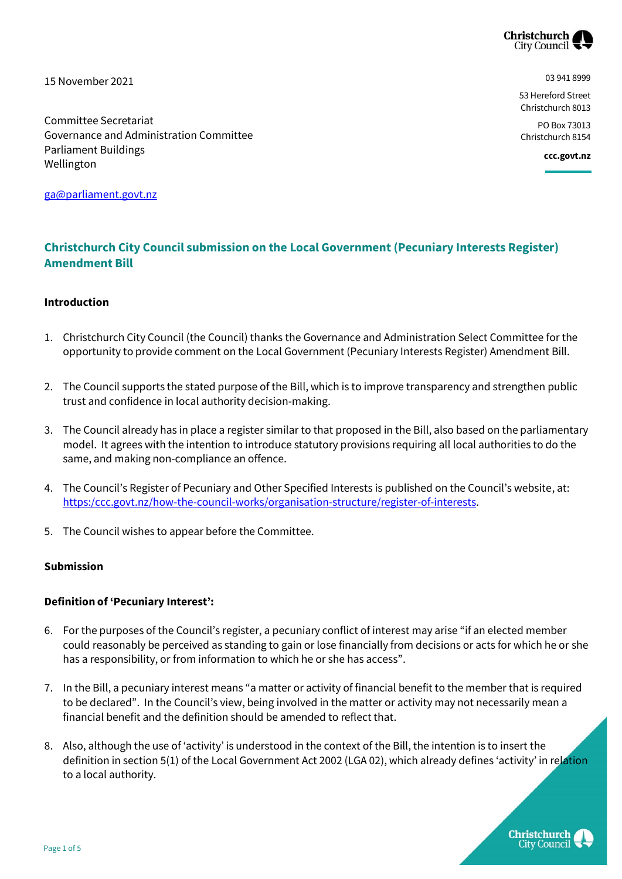

15 November 2021

Committee Secretariat

Parliament Buildings

Wellington

Governance and Administration Committee

03 941 8999

53 Hereford Street Christchurch 8013

PO Box 73013 Christchurch 8154

**ccc.govt.nz**

[ga@parliament.govt.nz](mailto:ga@parliament.govt.nz)

# **Christchurch City Council submission on the Local Government (Pecuniary Interests Register) Amendment Bill**

## **Introduction**

- 1. Christchurch City Council (the Council) thanks the Governance and Administration Select Committee for the opportunity to provide comment on the Local Government (Pecuniary Interests Register) Amendment Bill.
- 2. The Council supports the stated purpose of the Bill, which is to improve transparency and strengthen public trust and confidence in local authority decision-making.
- 3. The Council already has in place a register similar to that proposed in the Bill, also based on the parliamentary model. It agrees with the intention to introduce statutory provisions requiring all local authorities to do the same, and making non-compliance an offence.
- 4. The Council's Register of Pecuniary and Other Specified Interests is published on the Council's website, at: [https:/ccc.govt.nz/how-the-council-works/organisation-structure/register-of-interests.](ttps://ccc.govt.nz/how-the-council-works/organisation-structure/register-of-interests)
- 5. The Council wishes to appear before the Committee.

### **Submission**

#### **Definition of 'Pecuniary Interest':**

- 6. For the purposes of the Council's register, a pecuniary conflict of interest may arise "if an elected member could reasonably be perceived as standing to gain or lose financially from decisions or acts for which he or she has a responsibility, or from information to which he or she has access".
- 7. In the Bill, a pecuniary interest means "a matter or activity of financial benefit to the member that is required to be declared". In the Council's view, being involved in the matter or activity may not necessarily mean a financial benefit and the definition should be amended to reflect that.
- 8. Also, although the use of 'activity' is understood in the context of the Bill, the intention is to insert the definition in section 5(1) of the Local Government Act 2002 (LGA 02), which already defines 'activity' in relation to a local authority.

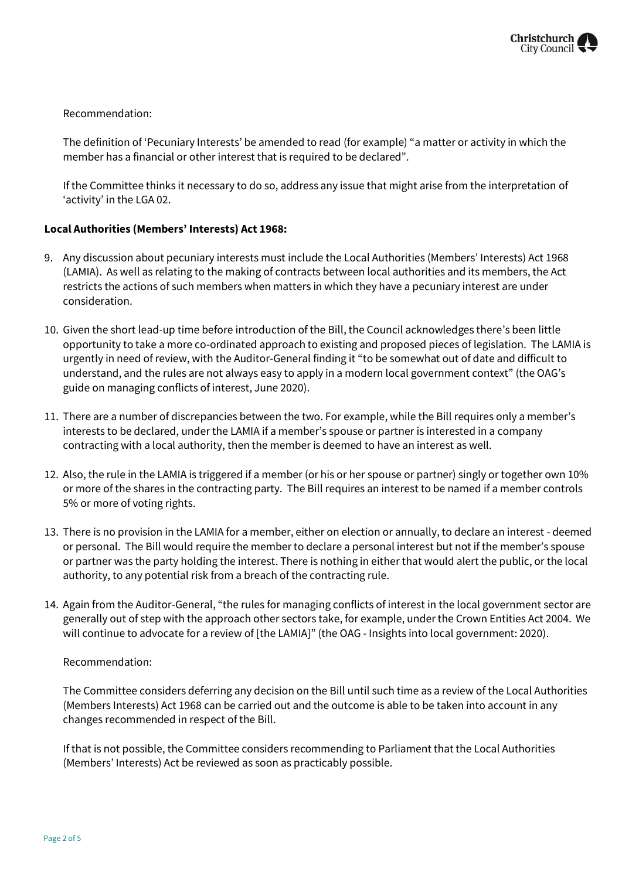## Recommendation:

The definition of 'Pecuniary Interests' be amended to read (for example) "a matter or activity in which the member has a financial or other interest that is required to be declared".

If the Committee thinks it necessary to do so, address any issue that might arise from the interpretation of 'activity' in the LGA 02.

## **Local Authorities (Members' Interests) Act 1968:**

- 9. Any discussion about pecuniary interests must include the Local Authorities (Members' Interests) Act 1968 (LAMIA). As well as relating to the making of contracts between local authorities and its members, the Act restricts the actions of such members when matters in which they have a pecuniary interest are under consideration.
- 10. Given the short lead-up time before introduction of the Bill, the Council acknowledges there's been little opportunity to take a more co-ordinated approach to existing and proposed pieces of legislation. The LAMIA is urgently in need of review, with the Auditor-General finding it "to be somewhat out of date and difficult to understand, and the rules are not always easy to apply in a modern local government context" (the OAG's guide on managing conflicts of interest, June 2020).
- 11. There are a number of discrepancies between the two. For example, while the Bill requires only a member's interests to be declared, under the LAMIA if a member's spouse or partner is interested in a company contracting with a local authority, then the member is deemed to have an interest as well.
- 12. Also, the rule in the LAMIA is triggered if a member (or his or her spouse or partner) singly or together own 10% or more of the shares in the contracting party. The Bill requires an interest to be named if a member controls 5% or more of voting rights.
- 13. There is no provision in the LAMIA for a member, either on election or annually, to declare an interest deemed or personal. The Bill would require the member to declare a personal interest but not if the member's spouse or partner was the party holding the interest. There is nothing in either that would alert the public, or the local authority, to any potential risk from a breach of the contracting rule.
- 14. Again from the Auditor-General, "the rules for managing conflicts of interest in the local government sector are generally out of step with the approach other sectors take, for example, under the Crown Entities Act 2004. We will continue to advocate for a review of [the LAMIA]" (the OAG - Insights into local government: 2020).

#### Recommendation:

The Committee considers deferring any decision on the Bill until such time as a review of the Local Authorities (Members Interests) Act 1968 can be carried out and the outcome is able to be taken into account in any changes recommended in respect of the Bill.

If that is not possible, the Committee considers recommending to Parliament that the Local Authorities (Members' Interests) Act be reviewed as soon as practicably possible.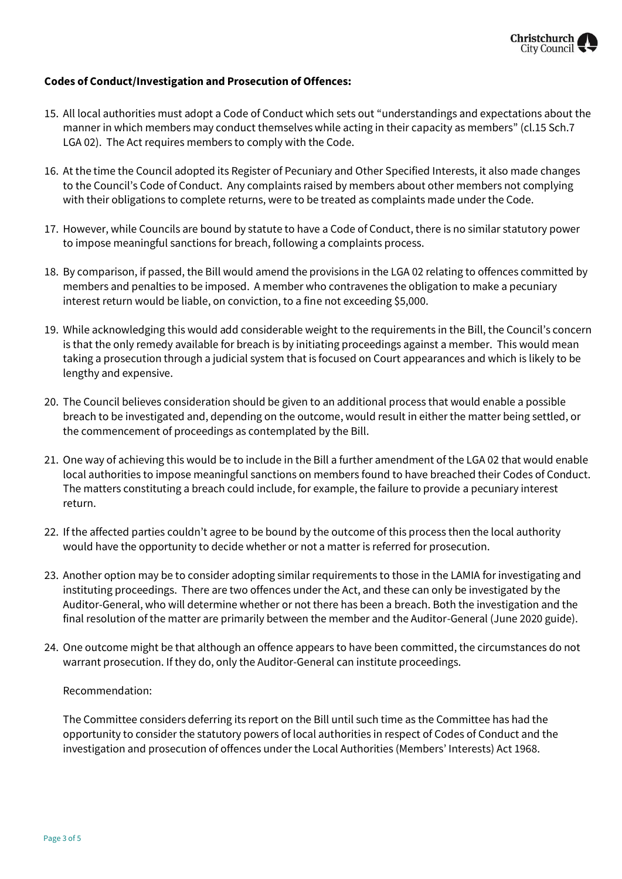

### **Codes of Conduct/Investigation and Prosecution of Offences:**

- 15. All local authorities must adopt a Code of Conduct which sets out "understandings and expectations about the manner in which members may conduct themselves while acting in their capacity as members" (cl.15 Sch.7 LGA 02). The Act requires members to comply with the Code.
- 16. At the time the Council adopted its Register of Pecuniary and Other Specified Interests, it also made changes to the Council's Code of Conduct. Any complaints raised by members about other members not complying with their obligations to complete returns, were to be treated as complaints made under the Code.
- 17. However, while Councils are bound by statute to have a Code of Conduct, there is no similar statutory power to impose meaningful sanctions for breach, following a complaints process.
- 18. By comparison, if passed, the Bill would amend the provisions in the LGA 02 relating to offences committed by members and penalties to be imposed. A member who contravenes the obligation to make a pecuniary interest return would be liable, on conviction, to a fine not exceeding \$5,000.
- 19. While acknowledging this would add considerable weight to the requirements in the Bill, the Council's concern is that the only remedy available for breach is by initiating proceedings against a member. This would mean taking a prosecution through a judicial system that is focused on Court appearances and which is likely to be lengthy and expensive.
- 20. The Council believes consideration should be given to an additional process that would enable a possible breach to be investigated and, depending on the outcome, would result in either the matter being settled, or the commencement of proceedings as contemplated by the Bill.
- 21. One way of achieving this would be to include in the Bill a further amendment of the LGA 02 that would enable local authorities to impose meaningful sanctions on members found to have breached their Codes of Conduct. The matters constituting a breach could include, for example, the failure to provide a pecuniary interest return.
- 22. If the affected parties couldn't agree to be bound by the outcome of this process then the local authority would have the opportunity to decide whether or not a matter is referred for prosecution.
- 23. Another option may be to consider adopting similar requirements to those in the LAMIA for investigating and instituting proceedings. There are two offences under the Act, and these can only be investigated by the Auditor-General, who will determine whether or not there has been a breach. Both the investigation and the final resolution of the matter are primarily between the member and the Auditor-General (June 2020 guide).
- 24. One outcome might be that although an offence appears to have been committed, the circumstances do not warrant prosecution. If they do, only the Auditor-General can institute proceedings.

#### Recommendation:

The Committee considers deferring its report on the Bill until such time as the Committee has had the opportunity to consider the statutory powers of local authorities in respect of Codes of Conduct and the investigation and prosecution of offences under the Local Authorities (Members' Interests) Act 1968.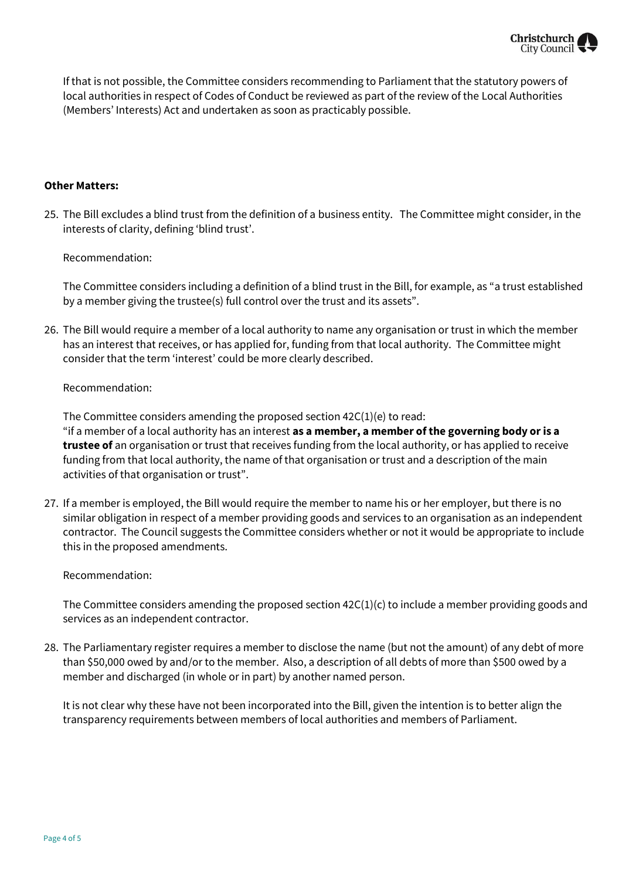

If that is not possible, the Committee considers recommending to Parliament that the statutory powers of local authorities in respect of Codes of Conduct be reviewed as part of the review of the Local Authorities (Members' Interests) Act and undertaken as soon as practicably possible.

#### **Other Matters:**

25. The Bill excludes a blind trust from the definition of a business entity. The Committee might consider, in the interests of clarity, defining 'blind trust'.

Recommendation:

The Committee considers including a definition of a blind trust in the Bill, for example, as "a trust established by a member giving the trustee(s) full control over the trust and its assets".

26. The Bill would require a member of a local authority to name any organisation or trust in which the member has an interest that receives, or has applied for, funding from that local authority. The Committee might consider that the term 'interest' could be more clearly described.

#### Recommendation:

The Committee considers amending the proposed section 42C(1)(e) to read: "if a member of a local authority has an interest **as a member, a member of the governing body or is a trustee of** an organisation or trust that receives funding from the local authority, or has applied to receive funding from that local authority, the name of that organisation or trust and a description of the main activities of that organisation or trust".

27. If a member is employed, the Bill would require the member to name his or her employer, but there is no similar obligation in respect of a member providing goods and services to an organisation as an independent contractor. The Council suggests the Committee considers whether or not it would be appropriate to include this in the proposed amendments.

Recommendation:

The Committee considers amending the proposed section  $42C(1)(c)$  to include a member providing goods and services as an independent contractor.

28. The Parliamentary register requires a member to disclose the name (but not the amount) of any debt of more than \$50,000 owed by and/or to the member. Also, a description of all debts of more than \$500 owed by a member and discharged (in whole or in part) by another named person.

It is not clear why these have not been incorporated into the Bill, given the intention is to better align the transparency requirements between members of local authorities and members of Parliament.